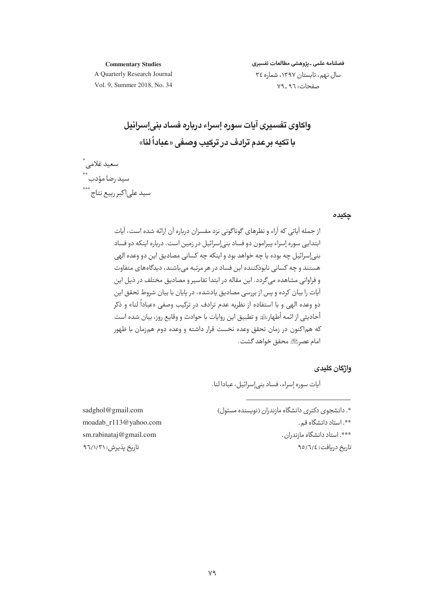#### **Commentary Studies**

فصلنامه علمي ـ يژوهشي مطالعات تفسيري سال نهم، تابستان ١٣٩٧، شماره ٣٤ صفحات: ٧٩\_٩٦

A Quarterly Research Journal Vol. 9, Summer 2018, No. 34

# وإكاوي تفسيري آبات سوره إسراء درباره فساد بنى إسرائيل با تکبه بر عدم ترادف در ترکیب وصفی «عباداً لنا»

سعيد غلامى \*<br>سيد رضا مؤدب \*\* .<br>سید علی|کبر ربیع نتاج \*\*\*

#### چکیدہ

از حمله آباتی که آراء و نظرهای گوناگونی نزد مفسران درباره آن ارائه شده است، آبات ابتدایی سوره إسراء پیرامون دو فساد بنیإسرائیل در زمین است. درباره اینکه دو فساد بني|سرائيل چه بوده يا چه خواهد بود و اينكه چه كساني مصاديق اين دو وعده الهي هستند و چه کسانی نابودکننده این فساد در هر مرتبه می باشند، دیدگاههای متفاوت و فراوانی مشاهده می گردد. این مقاله در ابتدا تفاسیر و مصادیق مختلف در ذیل این آبات را بیان کرده و پس از پررسی مصادیق بادشده، در بابان با بیان شروط تحقق این دو وعده الهي و با استفاده از نظريه عدم ترادف در تركيب وصفي «عباداً لنا» و ذكر أحاديثي از ائمه أطهارﷺ و تطبيق اين روايات با حوادث و وقايع روز، بيان شده است که هماکنون در زمان تحقق وعده نخست قرار داشته و وعده دوم همزمان با ظهور امام عصرﷺ محقق خواهد گشت.

### واژگان کلیدی

آيات سوره إسراء، فساد بني إسرائيل، عبادا لنا.

\*. دانشجوی دکتری دانشگاه مازندران (نویسنده مسئول) \*\*. استاد دانشگاه قم. \*\*\*. استاد دانشگاه مازندران. تاريخ دريافت: ٩٥/٦/٤

sadghol@gmail.com moadab\_r113@yahoo.com sm.rabinataj@gmail.com تاریخ پذیرش: ۹٦/١/٣١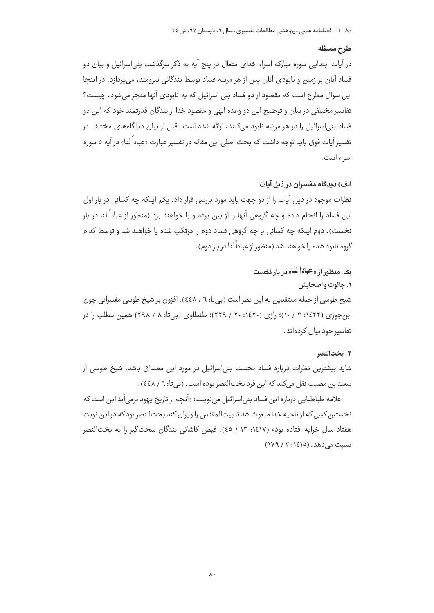### طرح مسئله

در آیات ابتدایی سوره مبارکه اسراء خدای متعال در پنج آیه به ذکر سرگذشت بنی|سرائیل و بیان دو فساد آنان بر زمین و نابودی آنان پس از هر مرتبه فساد توسط بندگانی نیرومند، میپردازد. در اینجا این سوال مطرح است که مقصود از دو فساد بنی اسرائیل که به نابودی آنها منجر می شود، چیست؟ تفاسیر مختلفی در بیان و توضیح این دو وعده الهی و مقصود خدا از بندگان قدرتمند خود که این دو فساد بنی|سرائیل را در هر مرتبه نابود می)کنند، ارائه شده است. قبل از بیان دیدگاههای مختلف در تفسیر آیات فوق باید توجه داشت که بحث اصلی این مقاله در تفسیر عبارت «عباداً لنا» در آیه ٥ سوره اسراء است.

### الف) دیدگاه مفسران در ذیل آیات

نظرات موجود در ذیل آیات را از دو جهت باید مورد بررسی قرار داد. یکم اینکه چه کسانی در بار اول این فساد را انجام داده و چه گروهی آنها را از بین برده و یا خواهند برد (منظور از عباداً لنا در بار نخست). دوم اینکه چه کسانی یا چه گروهی فساد دوم را مرتکب شده یا خواهند شد و توسط کدام گروه نابود شده یا خواهند شد (منظور از عباداً لنا در بار دوم) .

# یک. منظور از «عباداً لنا» در بار نخست

### ۰۱ جالوت و اصحابش

شیخ طوسی از جمله معتقدین به این نظر است (بی تا: ٦ / ٤٤٨). افزون بر شیخ طوسی مفسرانی چون ابن جوزی (۱٤٢٢: ۰۳ / ۱۰)؛ رازی (۱٤٢٠: ۲۰ / ٢٢٩)؛ طنطاوی (بیتا: ۸ / ۲۹۸) همین مطلب را در تفاسیر خود بیان کردهاند.

### ٢. بخت|لنصر

شاید بیشترین نظرات درباره فساد نخست بنی|سرائیل در مورد این مصداق باشد. شیخ طوسی از سعید بن مصیب نقل میکند که این فرد بختالنصر بوده است. (بی تا: ٦ / ٤٤٨).

علامه طباطبایی درباره این فساد بنی|سرائیل می;نویسد: «آنچه از تاریخ یهود برمی آید این است که نخستین کسی که از ناحیه خدا مبعوث شد تا بیتالمقدس را ویران کند بختالنصر بود که در این نوبت هفتاد سال خرابه افتاده بود» (۱٤١٧: ١٣ / ٤٥). فيض كاشاني بندگان سخت گير را به بختالنصر  $(1197/7:1510)$ . نسبت می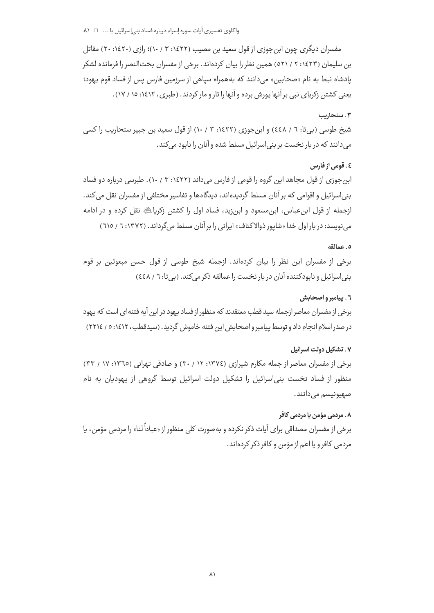مفسران دیگری چون ابن جوزی از قول سعید بن مصیب (۱۶۲۲: ۳ / ۱۰)؛ رازی (۱۶۲۰: ۲۰) مقاتل بن سلیمان (۱٤٢٣: ۲ / ٥٢١) همین نظر را بیان کردهاند. برخی از مفسران بخت|لنصر را فرمانده لشکر یادشاه نبط به نام «صحابین» می دانند که بههمراه سیاهی از سرزمین فارس پس از فساد قوم یهود؛ یعنی کشتن زکریای نبی بر آنها پورش برده و آنها را تار و مار کردند. (طبری، ۱۶۱۲: ۱۵ / ۱۷).

### ۰۳ سنحاریب

شیخ طوسی (بیتا: ٦ / ٤٤٨) و ابن جوزی (١٤٢٢: ٣ / ١٠) از قول سعید بن جبیر سنحاریب را کسی می دانند که در بار نخست بر بنی اسرائیل مسلط شده و آنان را نابود می کند .

# ٤. قومي از فارس

ابن جوزی از قول مجاهد این گروه را قومی از فارس می داند (۱۶۲۲: ۳ / ۱۰). طبرسی درباره دو فساد بنی|سرائیل و اقوامی که بر آنان مسلط گردیده|ند، دیدگاهها و تفاسیر مختلفی از مفسران نقل می کند. ازجمله از قول ابن عباس، ابن مسعود و ابن;ید، فساد اول را کشتن زکریاﷺ نقل کرده و در ادامه می نویسد: در بار اول خدا «شایور ذوالاکتاف» ایرانی را بر آنان مسلط می گرداند. (۱۳۷۲: ۲ / ٦١٥)

### ٥. عمالقه

برخی از مفسران این نظر را بیان کردهاند. ازجمله شیخ طوسی از قول حسن مبعوثین بر قوم بنی اسرائیل و نابودکننده آنان در بار نخست را عمالقه ذکر می کند. (بی تا: ٦ / ٤٤٨)

### ٦. پیامبر و اصحابش

برخی از مفسران معاصر ازجمله سید قطب معتقدند که منظور از فساد یهود در این آیه فتنهای است که یهود در صدر اسلام انجام داد و توسط پیامبر و اصحابش این فتنه خاموش گردید. (سیدقطب، ۱۶۱۲: ۰ / ۲۲۱۶)

### ۷. تشکیل دولت اسرائیل

برخی از مفسران معاصر از جمله مکارم شیرازی (١٣٧٤: ٢٠ / ٣٠) و صادقی تهرانی (١٣٦٥: ١٧ / ٣٣) منظور از فساد نخست بنی اسرائیل را تشکیل دولت اسرائیل توسط گروهی از یهودیان به نام صهيونيسم مي0انند.

### ٨. مردمي مؤمن يا مردمي كافر

برخی از مفسران مصداقی برای آیات ذکر نکرده و بهصورت کلی منظور از «عباداً لنا» را مردمی مؤمن، یا مردمی کافر و یا اعم از مؤمن و کافر ذکر کردهاند.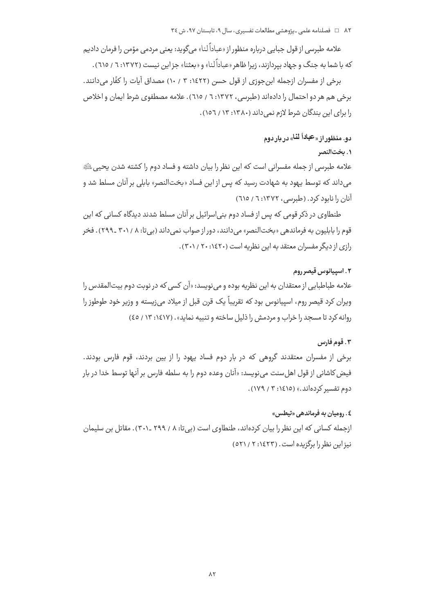علامه طبرسی از قول جبایی درباره منظور از «عباداً لنا» میگوید: یعنی مردمی مؤمن را فرمان دادیم که با شما به جنگ و جهاد بپردازند، زیرا ظاهر «عباداً لنا» و «بعثنا» جز این نیست (۱۳۷۲: ۲ / ٦١٥) .

برخي از مفسران ازجمله ابن جوزي از قول حسن (١٤٢٢: ٣ / ١٠) مصداق آيات را كفَّار مي<انند. برخی هم هر دو احتمال را دادهاند (طبرسی، ۱۳۷۲: ٦ / ٦١٥). علامه مصطفوی شرط ایمان و اخلاص را برای این بندگان شرط لازم نمی داند (۱۳۸۰: ۱۳ / ۱۵٦).

# دو. منظور از « <sup>عباداً</sup> لنا» در بار دوم

### ٠. بخت|لنصر

علامه طبرسی از جمله مفسرانی است که این نظر را بیان داشته و فساد دوم را کشته شدن یحیی ﷺ می داند که توسط یهود به شهادت رسید که پس از این فساد «بختالنصر» بابلی بر آنان مسلط شد و آنان را نابود کرد. (طبرسی، ۱۳۷۲: ۲ / ٦١٥)

طنطاوی در ذکر قومی که پس از فساد دوم پنی اسرائیل بر آنان مسلط شدند دیدگاه کسانی که این قوم را بابليون به فرماندهي «بختالنصر» مي دانند، دور از صواب نمي داند (بي تا: ۲۰۱/ ۳۰۱ ـ ۲۹۹) . فخر رازی از دیگر مفسران معتقد به این نظریه است (۲۰:۱۶۲۰/ ۳۰۱).

### ٢. اسپيانوس قيصر روم

علامه طباطبایی از معتقدان به این نظریه بوده و مینویسد: «آن کسی که در نوبت دوم بیتالمقدس را ویران کرد قیصر روم، اسپیانوس بود که تقریباً یک قرن قبل از میلاد می;یسته و وزیر خود طوطوز را روانه کرد تا مسجد را خراب و مردمش را ذلیل ساخته و تنبیه نماید». (۱٤١٧: ١٣ / ٤٥)

### ٠٣. قوم فارس

برخی از مفسران معتقدند گروهی که در بار دوم فساد پهود را از بین بردند، قوم فارس بودند. فیض کاشانی از قول اهل سنت می نویسد: «آنان وعده دوم را به سلطه فارس بر آنها توسط خدا در بار دوم تفسیر کردهاند.» (۱٤١٥: ۳ / ۱۷۹).

# ٤. روميان به فرماندهي «تيطس»

ازجمله کسانی که این نظر را بیان کردهاند، طنطاوی است (بی تا: ۸ / ۲۹۹ ـ ۳۰۱). مقاتل بن سلیمان نیز این نظر را پرگزیده است. (۱٤٢٣: ۲ / ٥٢١)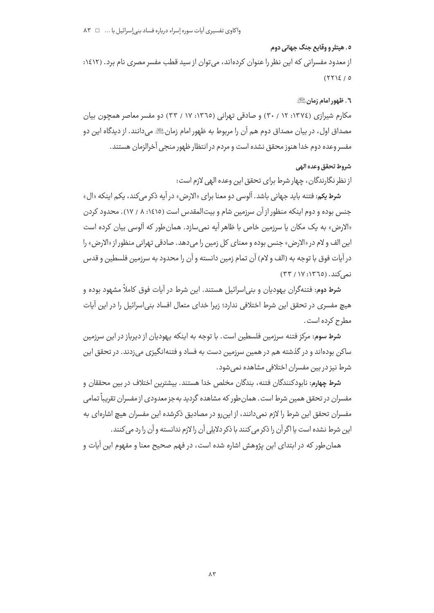### ٥. هيتلر و وقايع جنگ جهاني دوم

از معدود مفسرانی که این نظر را عنوان کردهاند، می توان از سید قطب مفسر مصری نام برد. (۱۶۱۲:  $(YYSE/0$ 

### ٦. ظهور امام زمانﷺ

مکارم شیرازی (١٣٧٤: ١٢ / ٣٠) و صادقی تهرانی (١٣٦٥: ١٧ / ٣٣) دو مفسر معاصر همچون بیان مصداق اول، در بيان مصداق دوم هم آن را مربوط به ظهور امام زمانﷺ مے دانند. از دیدگاہ این دو مفسر وعده دوم خدا هنوز محقق نشده است و مردم در انتظار ظهور منجي آخرالزمان هستند.

# شروط تحقق وعده الهي

از نظر نگارندگان، چهار شرط برای تحقق این وعده الهی لازم است:

**شرط يكم:** فتنه بايد جهاني باشد. آلوسي دو معنا براي «الارض» در آيه ذكر مي كند، يكم اينكه «ال» جنس بوده و دوم اینکه منظور از آن سرزمین شام و بیت|لمقدس است (۱٤١٥: ۸ / ۱۷). محدود کردن «الارض» به یک مکان یا سرزمین خاص با ظاهر آیه نمی سازد. همان طور که آلوسی بیان کرده است اين الف و لام در «الارض» جنس بوده و معناي كل زمين را مي دهد. صادقي تهراني منظور از «الارض» را در آيات فوق با توجه به (الف و لام) آن تمام زمين دانسته و آن را محدود به سرزمين فلسطين و قدس نمه کند. (١٣٦٥: ١٧ / ٣٣)

**شرط دوم**: فتنهگران یهودیان و بنی|سرائیل هستند. این شرط در آیات فوق کاملاً مشهود بوده و هیچ مفسری در تحقق این شرط اختلافی ندارد؛ زیرا خدای متعال افساد بنیاسرائیل را در این آیات مطرح کرده است .

شرط سوم: مرکز فتنه سرزمین فلسطین است. با توجه به اینکه یهودیان از دیرباز در این سرزمین ساکن بودهاند و در گذشته هم در همین سرزمین دست به فساد و فتنهانگیزی میزدند. در تحقق این شرط نیز در بین مفسران اختلافی مشاهده نمی شود.

شرط چهارم: نابودکنندگان فتنه، بندگان مخلص خدا هستند. بیشترین اختلاف در بین محققان و مفسران در تحقق همین شرط است. همان طور که مشاهده گردید به جز معدودی از مفسران تقریباً تمامی مفسران تحقق این شرط را لازم نمی دانند، از این رو در مصادیق ذکرشده این مفسران هیچ اشارهای به این شرط نشده است یا اگر آن را ذکر می کنند با ذکر دلایلی آن را لازم ندانسته و آن را رد می کنند.

همان طور که در ابتدای این پژوهش اشاره شده است، در فهم صحیح معنا و مفهوم این آیات و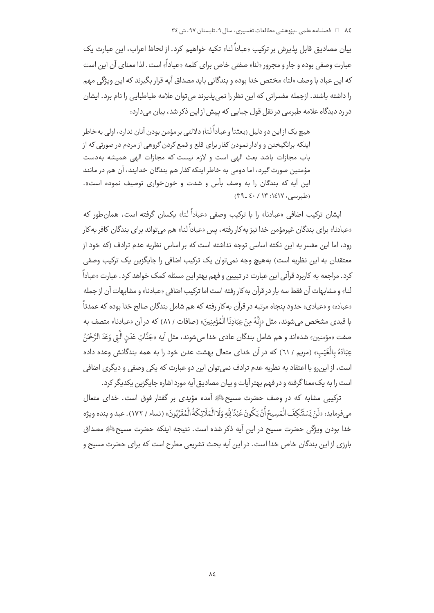بيان مصاديق قابل يذيرش بر تركيب «عباداً لنا» تكيه خواهيم كرد. از لحاظ اعراب، اين عبارت يك عبارت وصفي بوده و جار و مجرور «لنا» صفتي خاص براي كلمه «عباداً» است. لذا معناي آن اين است که این عباد با وصف «لنا» مختص خدا بوده و بندگانی باید مصداق آیه قرار بگیرند که این ویژگی مهم را داشته باشند. ازجمله مفسرانی که این نظر را نمی پذیرند می توان علامه طباطبایی را نام برد. ایشان در رد دیدگاه علامه طبرسی در نقل قول جبایی که پیش از این ذکر شد، بیان می دارد:

هیچ یک ازاین دو دلیل (بعثنا و عباداً لنا) دلالتے، پر مؤمن بودن آنان ندارد، اولی بهخاطر اینکه برانگیختن و وادار نمودن کفار برای قلع و قمع کردن گروهی از مردم در صورتی که از ياب مجازات باشد بعث الهي است و لازم نيست كه مجازات الهي هميشه بهدست مؤمنین صورت گیرد، اما دومی به خاطر اینکه کفار هم بندگان خدایند، آن هم در مانند این آیه که بندگان را به وصف بأس و شدت و خونخواری توصیف نموده است». (طبرسی، ۱٤١٧: ١٤٠ / ٤٠ \_ ٣٩)

ایشان ترکیب اضافی «عبادنا» را با ترکیب وصفی «عباداً لنا» بکسان گرفته است، همان طور که «عبادنا» براي بندگان غيرمؤمن خدا نيز به كار رفته، پس «عباداً لنا» هم مي تواند براي بندگان كافر به كار رود، اما این مفسر به این نکته اساسی توجه نداشته است که بر اساس نظریه عدم ترادف (که خود از معتقدان به این نظریه است) بههیچ وجه نمی توان یک ترکیب اضافی را جایگزین یک ترکیب وصفی کرد. مراجعه به کاربرد قرآنی این عبارت در تبیین و فهم بهتر این مسئله کمک خواهد کرد. عبارت «عباداً .<br>لنا» و مشابهات آن فقط سه بار در قرآن به کار رفته است اما ترکیب اضافی «عبادنا» و مشابهات آن از جمله «عباده» و «عبادی» حدود پنجاه مرتبه در قرآن به کار رفته که هم شامل بندگان صالح خدا بوده که عمدتاً با قيدي مشخص مي شوند، مثل «إِنَّهُ مِنْ عِبَادِنَا الْمُؤْمِنِينَ» (صافات / ٨١) كه در آن «عبادنا» متصف به صفت «مؤمنين» شدهاند و هم شامل بندگان عادي خدا مي شوند، مثل آيه «جَنَّاتٍ عَدْنِ الَّتِي وَعَدَ الرَّحْمَنُ عِبَادَهُ بِالْغَيْبِ» (مريم / ٦١) كه در آن خداي متعال بهشت عدن خود را به همه بندگانش وعده داده است، از این,رو با اعتقاد به نظریه عدم ترادف نمی توان این دو عبارت که یکی وصفی و دیگری اضافی است را به یک،معنا گرفته و در فهم بهتر آیات و بیان مصادیق آیه مورد اشاره جایگزین یکدیگر کرد.

ترکیبی مشابه که در وصف حضرت مسیح ﷺ آمده مؤیدی بر گفتار فوق است. خدای متعال م فرمايد: «لَنْ يَسْتَنْكِفَ الْمَسِيحُ أَنْ يَكُونَ عَبْدًالِلَّهِ وَلَا الْمَلَائِكَةُ الْمُقَرَّبُونَ» (نساء / ١٧٢). عبد و بنده ويژه خدا بودن ویژگی حضرت مسیح در این آیه ذکر شده است. نتیجه اینکه حضرت مسیح ﷺ مصداق بارزی از این بندگان خاص خدا است. در این آیه بحث تشریعی مطرح است که برای حضرت مسیح و

 $\lambda$ ٤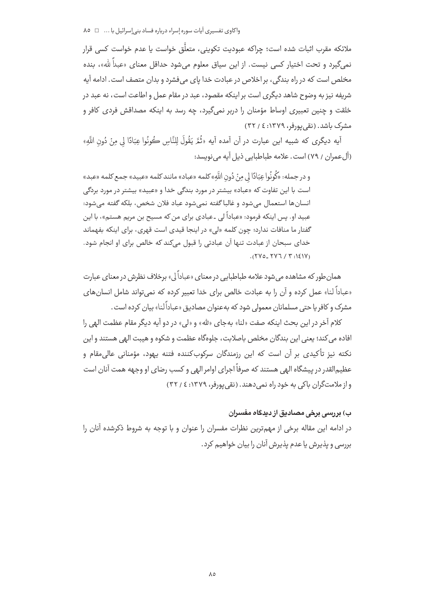واكاوى تفسيرى آيات سوره إسراء درباره فساد بنى إسرائيل با ... □ ٨٥

ملائکه مقرب اثبات شده است؛ حراکه عبودیت تکوینی، متعلَّق خواست یا عدم خواست کسی قرار نمي گيرد و تحت اختيار كسي نيست. از اين سياق معلوم مي شود حداقل معناي «عبداً لله»، بنده مخلص است که در راه بندگی، بر اخلاص در عبادت خدا پای می فشرد و بدان متصف است. ادامه آیه شریفه نیز به وضوح شاهد دیگری است بر اینکه مقصود، عبد در مقام عمل و اطاعت است، نه عبد در خلقت و چنین تعبیری اوساط مؤمنان را دربر نمیگیرد، چه رسد به اینکه مصداقش فردی کافر و مشرک باشد. (نقی پورفر، ۱۳۷۹: ٤ / ۳۲)

آيه ديگرى كه شبيه اين عبارت در آن آمده آيه «ثُمَّ يَقُولَ لِلنَّاسِ كُونُوا عِبَادًا لي مِنْ دُونِ اللَّهِ» (آل عمران / ٧٩) است. علامه طباطيابي ذيل آيه مي نويسد:

و در جمله: «كُونُوا عِبَادًا لي مِنْ دُونِ اللَّهِ» كلمه «عباد» مانند كلمه «عبيد» جمع كلمه «عبد» است با این تفاوت که «عباد» بیشتر در مورد بندگی خدا و «عبید» بیشتر در مورد بردگی انسانها استعمال مے شود و غالبا گفته نمے شود عباد فلان شخص، بلکه گفته مے شود: عبید او. پس اینکه فرمود: «عباداً لی ۔عبادی برای من که مسیح بن مریم هستم»، با این گفتار ما منافات ندارد؛ چون کلمه «لي» در اينجا قيدي است قهري، براي اينکه بفهماند خدای سبحان از عبادت تنها آن عبادتی را قبول میکند که خالص برای او انجام شود.  $(512.50)$ 

همان طور که مشاهده می شود علامه طباطبایی در معنای «عباداً لی» برخلاف نظرش در معنای عبارت «عباداً لنا» عمل کرده و آن را به عبادت خالص برای خدا تعبیر کرده که نمی تواند شامل انسان های مشرک و کافر با حتی مسلمانان معمولی شود که بهعنوان مصادیق «عباداً لنا» بیان کرده است .

كلام آخر در اين بحث اينكه صفت «لنا» بهجاي «لله» و «لي» در دو آيه ديگر مقام عظمت الهي را افاده می کند؛ یعنی این بندگان مخلص باصلابت، جلوهگاه عظمت و شکوه و هیبت الهی هستند و این نکته نیز تأکیدی بر آن است که این رزمندگان سرکوبکننده فتنه یهود، مؤمنانی عالی،مقام و عظیم|لقدر در پیشگاه الهی هستند که صرفاً اجرای اوامر الهی و کسب رضای او وجهه همت آنان است واز ملامتگران باکی به خود راه نمی دهند. (نقی پورفر، ۱۳۷۹: ٤ / ۳۲)

# ب) بررسی برخی مصادیق از دیدگاه مفسران

در ادامه این مقاله برخی از مهمترین نظرات مفسران را عنوان و با توجه به شروط ذکرشده آنان را بررسی و پذیرش یا عدم پذیرش آنان را بیان خواهیم کرد.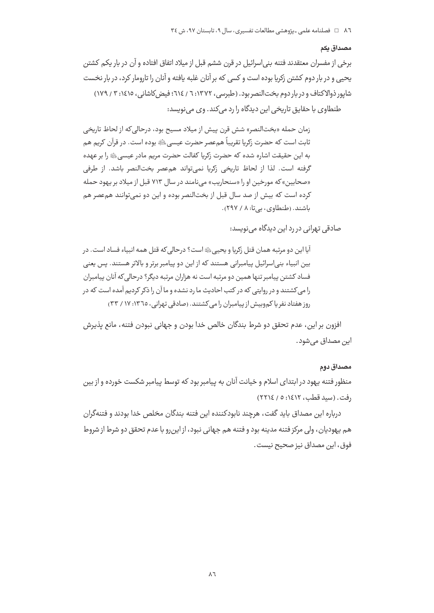#### مصداق بكم

برخی از مفسران معتقدند فتنه بنی|سرائیل در قرن ششم قبل از میلاد اتفاق افتاده و آن در بار یکم کشتن يحيى و در بار دوم كشتن زكريا بوده است و كسى كه بر آنان غلبه يافته و آنان را تارومار كرد، در بار نخست شایور ذوالاکتاف و در بار دوم بخت النصر بود. (طبرسی، ۱۳۷۲: ۲ / ۶۱۶: فیض کاشانی، ۱۶۱۵: ۳ / ۱۷۹) طنطاوی با حقایق تاریخی این دیدگاه را رد می کند. وی می نویسد:

زمان حمله «بختالنصر» شش قرن پیش از میلاد مسیح بود، درحالی که از لحاظ تاریخی ثابت است که حضرت زکریا تقریباً همءصر حضرت عیسی ﷺ بوده است. در قرآن کریم هم به این حقیقت اشاره شده که حضرت زکریا کفالت حضرت مریم مادر عیسی ﷺ را بر عهده گرفته است. لذا از لحاظ تاریخی زکریا نمی تواند هم عصر بختالنصر باشد. از طرفی «صحابین» که مورخین او را «سنحاریب» می نامند در سال ۷۱۳ قبل از میلاد بر یهود حمله کرده است که بیش از صد سال قبل از بختالنصر بوده و این دو نمی توانند هم عصر هم باشند. (طنطاوی، بی تا: ۸ / ۲۹۷).

صادقی تھرانی در رد این دیدگاہ می نویسد:

آيا اين دو مرتبه همان قتل زكريا و يحيى،ﷺ است؟ درحالي كه قتل همه انبياء فساد است. در بین انبیاء بنے اسرائیل پیامبرانی هستند که از این دو پیامبر برتر و بالاتر هستند. پس یعنی فساد کشتن پیامبر تنها همین دو مرتبه است نه هزاران مرتبه دیگر؟ درحالی که آنان پیامبران را می کشتند و در روایتی که در کتب احادیث ما رد نشده و ما آن را ذکر کردیم آمده است که در روز هفتاد نفر یا کموبیش از پیامبران را می کشتند. (صادقی تهرانی، ١٣٦٥: ١٧ / ٣٣)

افزون بر اين، عدم تحقق دو شرط بندگان خالص خدا بودن و جهانی نبودن فتنه، مانع پذيرش اين مصداق مي شود.

### مصداق دوم

منظور فتنه پهود در ابتدای اسلام و خیانت آنان به پیامبر بود که توسط پیامبر شکست خورده و از بین (فت. (سيد قطب، ١٤١٢: ٥ / ٢٢١٤)

درباره این مصداق باید گفت، هرچند نابودکننده این فتنه بندگان مخلص خدا بودند و فتنهگران هم پهوديان، ولي مركز فتنه مدينه بود و فتنه هم جهاني نبود، از اين,رو با عدم تحقق دو شرط از شروط فوق، اين مصداق نيز صحيح نيست.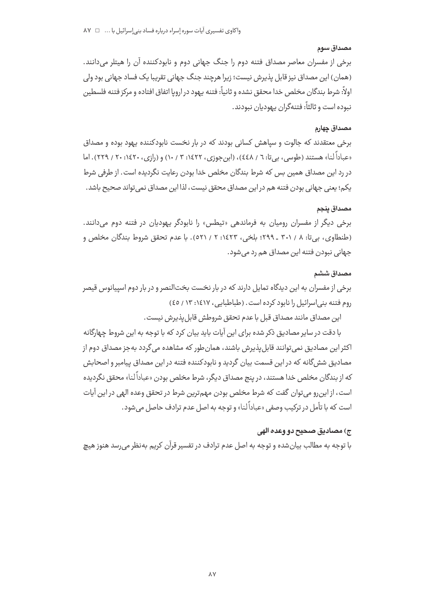### مصداق سوم

برخی از مفسران معاصر مصداق فتنه دوم را جنگ جهانی دوم و نابودکننده ان را هیتلر میدانند. (همان) این مصداق نیز قابل پذیرش نیست؛ زیرا هرچند جنگ جهانی تقریبا یک فساد جهانی بود ولی ولاً: شرط بندگان مخلص خدا محقق نشده و ثانياً: فتنه يهود در اروپا اتفاق افتاده و مركز فتنه فلسطين نبوده است و ثالثاً: فتنهگران يهوديان نبودند.

### مصداق چهارم

برخی معتقدند که جالوت و سپاهش کسانی بودند که در بار نخست نابودکننده یهود بوده و مصداق «عباداً لنا» هستند (طوسي، بيتا: ٦ / ٤٤٨)، (ابنجوزي، ١٤٢٢: ٣ / ١٠) و (رازي، ٢٤٢٠: ٢٠ / ٢٢٩). اما در رد این مصداق همین بس که شرط بندگان مخلص خدا بودن رعایت نگردیده است. از طرفی شرط یکم؛ یعنی جهانی بودن فتنه هم در این مصداق محقق نیست، لذا این مصداق نمی¤تواند صحیح باشد.

# مصداق **پنجم**

برخی دیگر از مفسران رومیان به فرماندهی «تیطس» را نابودگر یهودیان در فتنه دوم میدانند. (طنطاوی، بیتا: ۸ / ۳۰۱ ـ ۲۹۹؛ بلخی، ۱٤۲۳: ۲ / ۵۲۱). با عدم تحقق شروط بندگان مخلص و -جهانی نبودن فتنه این مصداق هم رد میشود.

# مصداق ششم

برخی از مفسران به این دیدگاه تمایل دارند که در بار نخست بختالنصر و در بار دوم اسپیانوس قیصر روم فتنه بنی|سرائیل را نابود کرده است . (طباطبایی، ۱٤١٧: ۱۳ / ٤٥)

'ين مصداق مانند مصداق قبل با عدم تحقق شروطش قابل $\downarrow$ نيرش نيست.

با دقت در سایر مصادیق ذکر شده برای این ایات باید بیان کرد که با توجه به این شروط چهارگانه کثر این مصادیق نمی¤وانند قابل $\downarrow$ پذیرش باشند، همانطور که مشاهده میگردد بهجز مصداق دوم از مصادیق ششگانه که در این قسمت بیان گردید و نابودکننده فتنه در این مصداق پیامبر و اصحابش د از بندگان مخلص خدا هستند، در پنج مصداق دیگر، شرط مخلص بودن «عباداً لنا» محقق نگردیده است، از اینرو میتوان گفت که شرط مخلص بودن مهم¤رین شرط در تحقق وعده الهی در این ایات ست که با تأمل در ترکیب وصفی «عباداً لنا» و توجه به اصل عدم ترادف حاصل میشود.

### ج) مصاديق صحيح دو وعده الهى

با توجه به مطالب بیانشده و توجه به اصل عدم ترادف در تفسیر قران کریم بهنظر میرسد هنوز هیچ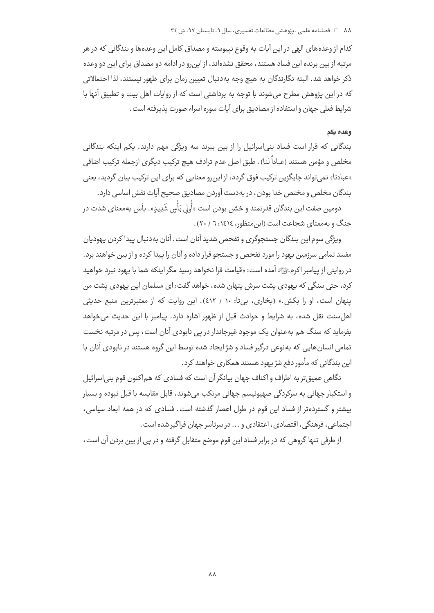کدام از وعدههای الهی در این آیات به وقوع نیپوسته و مصداق کامل این وعدهها و بندگانی که در هر مرتبه از بین برنده این فساد هستند، محقق نشدهاند، از این رو در ادامه دو مصداق برای این دو وعده ذكر خواهد شد. البته نگارندگان به هيچ وجه بهدنبال تعيين زمان براي ظهور نيستند، لذا احتمالاتي که در این پژوهش مطرح می شوند با توجه به برداشتی است که از روایات اهل بیت و تطبیق آنها با شرايط فعلى جهان و استفاده از مصاديق براي آيات سوره اسراء صورت پذيرفته است .

### وعده يكم

بندگانی که قرار است فساد بنیاسرائیل را از بین ببرند سه ویژگی مهم دارند. یکم اینکه بندگانی مخلص و مؤمن هستند (عباداً لنا). طبق اصل عدم ترادف هیچ ترکیب دیگری ازجمله ترکیب اضافی «عبادنا» نمی تواند جایگزین ترکیب فوق گردد، از این رو معنایی که برای این ترکیب بیان گردید، یعنی بندگان مخلص و مختص خدا بودن، در به دست آوردن مصادیق صحیح آبات نقش اساسی دارد.

دومین صفت این بندگان قدرتمند و خشن بودن است «أَولى بَأْسٍ شَدِیدٍ». بأس بهمعنای شدت در جنگ و به معنای شجاعت است (ابن منظور، ١٤١٤ / ٢٠).

ويژگي سوم اين بندگان جستجوگري و تفحص شديد آنان است. آنان به دنبال پيدا كردن پهوديان مفسد تمامی سرزمین یهود را مورد تفحص و جستجو قرار داده و آنان را پیدا کرده و از بین خواهند برد. در روايتي از پيامبر اكرمﷺ آمده است: «قيامت فرا نخواهد رسيد مگر اينكه شما با يهود نبرد خواهيد کرد، حتی سنگی که یهودی یشت سرش پنهان شده، خواهد گفت: ای مسلمان این یهودی یشت من ینهان است، او را بکش.» (بخاری، بیتا: ۱۰ / ٤١٢). این روایت که از معتبرترین منبع حدیثی اها ,سنت نقل شده، به شرایط و حوادث قبل از ظهور اشاره دارد. پیامبر با این حدیث می خواهد بفرماید که سنگ هم بهعنوان یک موجود غیرجاندار در پی نابودی آنان است، پس در مرتبه نخست تمامی انسانهایی که بهنوعی درگیر فساد و شرّ ایجاد شده توسط این گروه هستند در نابودی آنان با این بندگانی که مأمور دفع شرّ یهود هستند همکاری خواهند کرد.

نگاهي عميق تر به اطراف و اکناف جهان بيانگر آن است که فسادي که هماکنون قوم بني اسرائيل و استکبار جهانی به سرکردگی صهیونیسم جهانی مرتکب می شوند، قابل مقایسه با قبل نبوده و بسیار بیشتر و گسترده تر از فساد این قوم در طول اعصار گذشته است. فسادی که در همه ابعاد سیاسی، اجتماعي، فرهنگي، اقتصادي، اعتقادي و ... در سرتاسر جهان فراگير شده است.

از طرفی تنها گروهی که در برابر فساد این قوم موضع متقابل گرفته و در پی از بین بردن آن است،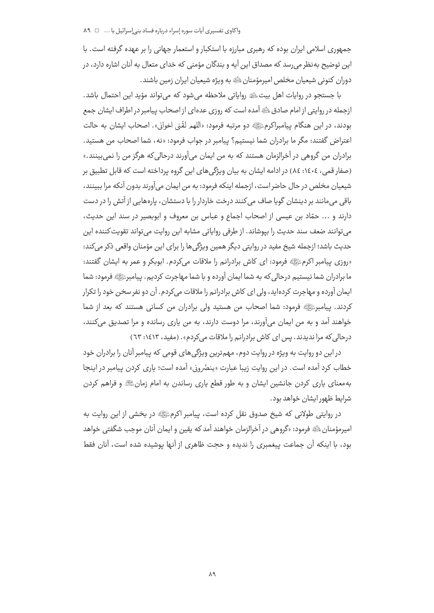جمهوری اسلامی ایران بوده که رهبری مبارزه با استکبار و استعمار جهانی را بر عهده گرفته است. با این توضیح به نظر می رسد که مصداق این آیه و بندگان مؤمنی که خدای متعال به آنان اشاره دارد، در دوران كنوني شيعيان مخلص اميرمؤمنان ﷺ به ويژه شيعيان ايران زمين باشند.

با جستجو در روايات اهل بيتﷺ رواياتي ملاحظه مي شود كه مي تواند مؤيد اين احتمال باشد. ازجمله در روایتی از امام صادق ﷺ آمده است که روزی عدهای از اصحاب پیامبر در اطراف ایشان جمع بودند، در اين هنگام پيامبراكرمﷺ دو مرتبه فرمود: «اللهم لقّبي اخواني». اصحاب ايشان به حالت اعتراض ,گفتند: مگر ما برادران شما نیستیم؟ پیامبر در جواب فرمود: «نه، شما اصحاب من هستید. برادران من گروهی در آخرالزمان هستند که به من ایمان می آورند درحالی که هرگز من را نمی بینند.» (صفار قمی، ١٤٠٤: ٨٤) در ادامه ایشان به بیان ویژگی های این گروه پرداخته است که قابل تطبیق بر شيعيان مخلص در حال حاضر است، ازجمله اينكه فرمود: به من ايمان مي آورند بدون آنكه مرا ببينند، باقی میمانند بر دینشان گویا صاف می کنند درخت خاردار را با دستشان، پارههایی از آتش را در دست دارند و ... حمّاد بن عيسى از اصحاب اجماع و عباس بن معروف و ابوبصير در سند اين حديث، می توانند ضعف سند حدیث را بیوشاند. از طرفی روایاتی مشابه این روایت می تواند تقویت کننده این حدیث باشد؛ ازجمله شیخ مفید در روایتی دیگر همین ویژگی ها را برای این مؤمنان واقعی ذکر می کند: «روزي پيامبر اکرمﷺ فرمود: اي کاش برادرانم را ملاقات ميکردم. ابوبکر و عمر به ايشان گفتند: ما برادران شما نیستیم درحالی که به شما ایمان آورده و با شما مهاجرت کردیم. پیامبرﷺ فرمود: شما ایمان آورده و مهاجرت کردهاید، ولی ای کاش برادرانم را ملاقات می کردم. آن دو نفر سخن خود را تکرار كردند. ييامبرئي الله فرمود: شما اصحاب من هستيد ولي برادران من كساني هستند كه بعد از شما خواهند آمد و به من ایمان میآورند، مرا دوست دارند، به من پاری رسانده و مرا تصدیق میکنند، درحالی که مرا ندیدند. پس ای کاش برادرانم را ملاقات می کردم». (مفید، ۱۶۱۳: ٦٣)

در این دو روایت به ویژه در روایت دوم، مهمترین ویژگیهای قومی که پیامبر آنان را برادران خود خطاب کرد آمده است. در این روایت زیبا عبارت «پنصُرونی» آمده است؛ پاری کردن پیامبر در اینجا به معنای پاری کردن جانشین ایشان و به طور قطع پاری رساندن به امام زمانﷺ و فراهم کردن شرایط ظهور ایشان خواهد بود.

در روایتی طولانی که شیخ صدوق نقل کرده است، پیامبر اکرمﷺ در بخشی از این روایت به امپرمؤمنانﷺ فرمود: «گروهي در آخرالزمان خواهند آمد كه يقين و ايمان آنان موجب شگفتي خواهد بود، با اینکه آن جماعت پیغمبری را ندیده و حجت ظاهری از آنها پوشیده شده است، آنان فقط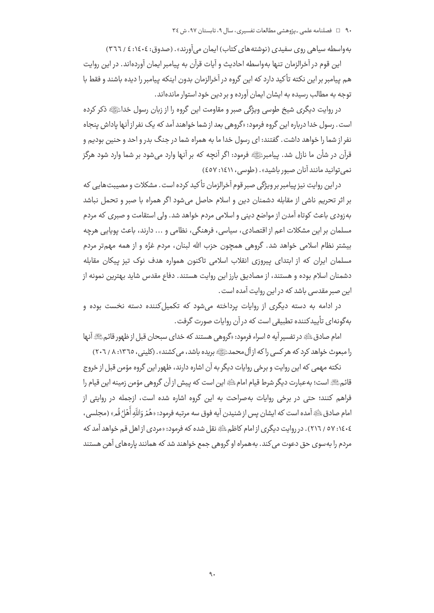بهواسطه سیاهی روی سفیدی (نوشتههای کتاب) ایمان می آورند». (صدوق: ١٤٠٤: ٤ / ٣٦٦)

اين قوم در آخرالزمان تنها بهواسطه احاديث و آيات قرآن به پيامبر ايمان آوردهاند. در اين روايت هم پیامبر بر این نکته تأکید دارد که این گروه در آخرالزمان بدون اینکه پیامبر را دیده باشند و فقط با توجه به مطالب رسیده به ایشان ایمان آورده و بر دین خود استوار ماندهاند.

در روایت دیگری شیخ طوسی ویژگی صبر و مقاومت این گروه را از زبان رسول خداﷺ ذکر کرده است. رسول خدا درباره این گروه فرمود: «گروهی بعد از شما خواهند آمد که یک نفر از آنها یاداش پنجاه نفر از شما را خواهد داشت. گفتند: ای رسول خدا ما به همراه شما در جنگ بدر و احد و حنین بودیم و قرآن در شأن ما نازل شد. پیامبرﷺ فرمود: اگر آنچه که بر آنها وارد می شود بر شما وارد شود هرگز نمي توانيد مانند آنان صبور باشيد». (طوسى، ١٤١١: ٤٥٧)

در این روایت نیز پیامبر بر ویژگی صبر قوم آخرالزمان تأکید کرده است. مشکلات و مصیبت هایی که بر اثر تحريم ناشي از مقابله دشمنان دين و اسلام حاصل مي شود اگر همراه با صبر و تحمل نباشد به;ودی باعث کوتاه آمدن از مواضع دینی و اسلامی مردم خواهد شد. ولی استقامت و صبری که مردم مسلمان بر این مشکلات اعم از اقتصادی، سیاسی، فرهنگی، نظامی و … دارند، باعث یوپایی هرچه بیشتر نظام اسلامی خواهد شد. گروهی همچون حزب الله لبنان، مردم غزّه و از همه مهمتر مردم مسلمان ایران که از ابتدای پیروزی انقلاب اسلامی تاکنون همواره هدف نوک تیز پیکان مقابله دشمنان اسلام بوده و هستند، از مصادیق بارز این روایت هستند. دفاع مقدس شاید بهترین نمونه از ابن صبر مقدسی باشد که در این روایت آمده است .

در ادامه به دسته دیگری از روایات پرداخته می شود که تکمیل کننده دسته نخست بوده و بهگونهای تأییدکننده تطبیقی است که در آن روایات صورت گرفت.

امام صادق ﷺ در تفسير آيه ٥ اسراء فرمود: «گروهي هستند كه خداي سبحان قبل از ظهور قائمﷺ آنها را مبعوث خواهد کرد که هر کسی را که از آل محمد ﷺ بریده باشد، می کشند» . (کلینی ، ١٣٦٥: ٨ / ٢٠٦)

نکته مهمی که این روایت و برخی روایات دیگر به آن اشاره دارند، ظهور این گروه مؤمن قبل از خروج قائمﷺ است؛ به عبارت دیگر شرط قیام امام ﷺ این است که پیش از آن گروهی مؤمن زمینه این قیام را فراهم کنند؛ حتی در برخی روایات بهصراحت به این گروه اشاره شده است، ازجمله در روایتی از امام صادق ﷺ آمده است كه ايشان يس از شنيدن آيه فوق سه مرتبه فرمود: «هُمْ وَاللَّهِ أَهْلُ قُم» (مجلسي، ٤٠٤: ٥٧ / ٢١٦) . در روايت ديگري از امام كاظمﷺ نقل شده كه فرمود: «مردى از اهل قم خواهد آمد كه مردم را بهسوی حق دعوت می کند. بههمراه او گروهی جمع خواهند شد که همانند پارههای آهن هستند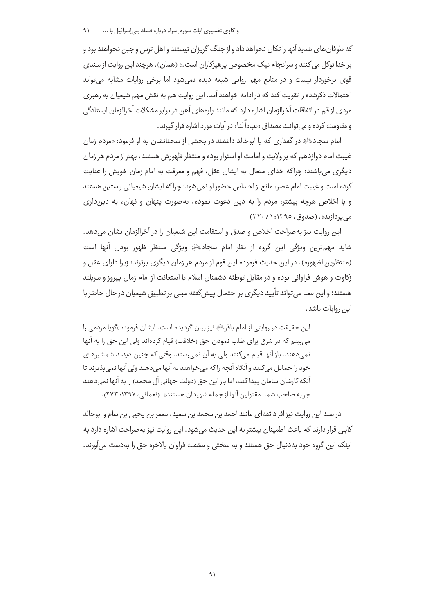که طوفان های شدید آنها را تکان نخواهد داد و از جنگ گریزان نیستند و اهل ترس و جبن نخواهند بود و بر خدا توکل می کنند و سرانجام نیک مخصوص پرهیزکاران است.» (همان). هرچند این روایت از سندی قوی برخوردار نیست و در منابع مهم روایی شیعه دیده نمی شود اما برخی روایات مشابه می تواند احتمالات ذکرشده را تقویت کند که در ادامه خواهند آمد. این روایت هم به نقش مهم شیعیان به رهبری مردی از قم در اتفاقات آخرالزمان اشاره دارد که مانند پارههای آهن در برابر مشکلات آخرالزمان ایستادگی و مقاومت کرده و مر توانند مصداق «عباداً لنا» در آبات مورد اشاره قرار گیرند.

امام سجادﷺ در گفتاری که با ابوخالد داشتند در بخشی از سخنانشان به او فرمود: «مردم زمان غیبت امام دوازدهم که بر ولایت و امامت او استوار بوده و منتظر ظهورش هستند، بهتر از مردم هر زمان دیگری می باشند؛ چراکه خدای متعال به ایشان عقل، فهم و معرفت به امام زمان خویش را عنایت كرده است و غيبت امام عصر، مانع از احساس حضور او نمى شود؛ چراكه ايشان شيعياني راستين هستند و با اخلاص هرچه بیشتر، مردم را به دین دعوت نموده، بهصورت پنهان و نهان، به دین داری می بردازند». (صدوق، ۱۳۹۵: ۱/ ۳۲۰)

این روایت نیز به صراحت اخلاص و صدق و استقامت این شیعیان را در آخرالزمان نشان می دهد. شاید مهمترین ویژگی این گروه از نظر امام سجادﷺ ویژگی منتظر ظهور بودن آنها است (منتظرین لظهوره). در این حدیث فرموده این قوم از مردم هر زمان دیگری برترند؛ زیرا دارای عقل و زكاوت و هوش فراواني بوده و در مقابل توطئه دشمنان اسلام با استعانت از امام زمان پيروز و سربلند هستند؛ و این معنا می تواند تأیید دیگری بر احتمال پیش گفته مبنی بر تطبیق شیعیان در حال حاضر با ابن روایات باشد.

اين حقيقت در روايتي از امام باقر<sup>ائ</sup>يَّةِ نيز بيان گرديده است. ايشان فرمود: «گويا مردمي را می بینم که در شرق برای طلب نمودن حق (خلافت) قیام کردهاند ولی این حق را به آنها نمي دهند. باز آنها قيام مي كنند ولي به آن نمي رسند. وقتي كه چنين ديدند شمشيرهاي خود را حمایل میکنند و آنگاه آنچه راکه می خواهند به آنها می دهند ولی آنها نمی پذیرند تا آنکه کارشان سامان پیداکند، اما باز این حق (دولت جهانی آل محمد) را به آنها نمی دهند جزیه صاحب شما، مقتولین آنها از جمله شهیدان هستند». (نعمانی، ۱۳۹۷: ۲۷۳).

در سند اين روايت نيز افراد ثقهاي مانند احمد بن محمد بن سعيد، معمر بن يحيى بن سام و ابوخالد کابلی قرار دارند که باعث اطمینان بیشتر به این حدیث می شود. این روایت نیز بهصراحت اشاره دارد به اينكه اين گروه خود بهدنبال حق هستند و به سختي و مشقت فراوان بالاخره حق را بهدست مي آورند.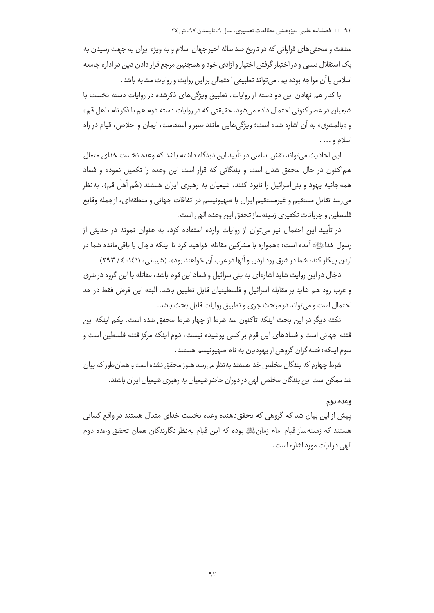مشقت و سختے ,های فراوانی که در تاریخ صد ساله اخیر جهان اسلام و به ویژه ایران به جهت رسیدن به یک استقلال نسبی و در اختیار گرفتن اختیار و آزادی خود و همچنین مرجع قرار دادن دین در اداره جامعه اسلامی با آن مواجه بودهایم، می تواند تطبیقی احتمالی براین روایت و روایات مشابه باشد.

با کنار هم نهادن این دو دسته از روایات، تطبیق ویژگی های ذکرشده در روایات دسته نخست با شیعیان در عصر کنونی احتمال داده می شود. حقیقتی که در روایات دسته دوم هم با ذکر نام «اهل قم» و «بالمشرق» به آن اشاره شده است؛ ویژگی هایی مانند صبر و استقامت، ایمان و اخلاص، قیام در راه اسلام و … .

این احادیث می تواند نقش اساسی در تأیید این دیدگاه داشته باشد که وعده نخست خدای متعال هم|کنون در حال محقق شدن است و بندگانی که قرار است این وعده را تکمیل نموده و فساد همهجانبه يهود و بني|سرائيل را نابود كنند، شيعيان به رهبري ايران هستند (هُم أهلُ قم). بهنظر می رسد تقابل مستقیم و غیرمستقیم ایران با صهیونیسم در اتفاقات جهانی و منطقهای، ازجمله وقایع فلسطين و جريانات تكفيري زمينهساز تحقق اين وعده الهي است .

در تأیید این احتمال نیز می توان از روایات وارده استفاده کرد، به عنوان نمونه در حدیثی از رسول خداءًرَا ﴾ آمده است: «همواره با مشركين مقاتله خواهيد كرد تا اينكه دجال با باقي مانده شما در اردن پیکار کند، شما در شرق رود اردن و آنها در غرب آن خواهند بود» . (شیبانی، ۱٤١١: ٤ / ۲۹۳)

دجّال در اين روايت شايد اشارهاي به بني اسرائيل و فساد اين قوم باشد، مقاتله با اين گروه در شرق و غرب رود هم شايد بر مقابله اسرائيل و فلسطينيان قابل تطبيق باشد. البته اين فرض فقط در حد احتمال است و می تواند در مبحث جری و تطبیق روایات قابل بحث باشد.

نکته دیگر در این بحث اینکه تاکنون سه شرط از چهار شرط محقق شده است. یکم اینکه این فتنه جهانی است و فسادهای این قوم بر کسی پوشیده نیست، دوم اینکه مرکز فتنه فلسطین است و سوم اینکه: فتنه گران گروهی از یهودیان به نام صهیونیسم هستند.

شرط چهارم که بندگان مخلص خدا هستند به نظر می رسد هنوز محقق نشده است و همان طور که بیان شد ممکن است این بندگان مخلص الهی در دوران حاضر شیعیان به رهبری شیعیان ایران باشند.

#### وعده دوم

پیش از این بیان شد که گروهی که تحقق٫دهنده وعده نخست خدای متعال هستند در واقع کسانی هستند که زمینهساز قیام امام زمانﷺ بوده که این قیام بهنظر نگارندگان همان تحقق وعده دوم البهي در آيات مورد اشاره است .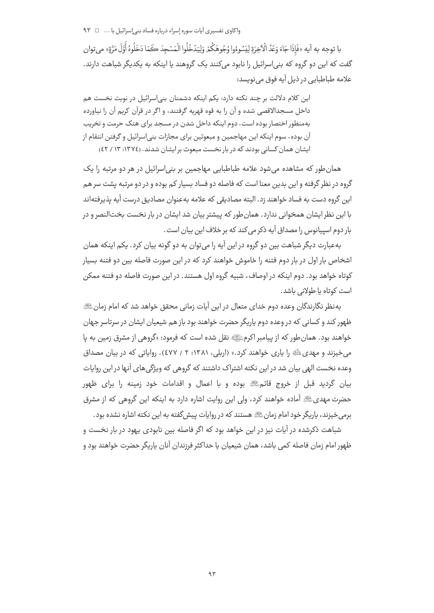با توجه به آيه «فَإِذَا جَاءَ وَعُدُ الْآخِرَةِ لِيَسُوءُوا وُجُوهَكُمْ وَلِيَدْخُلُوا الْمَسْجِدَ كَمَا دَخَلُوهُ أَوَّلَ مَرَّةٍ» مي توان گفت که این دو گروه که بنی|سرائیل را نابود میکنند یک گروهند یا اینکه به یکدیگر شباهت دارند. علامه طباطبایی در ذیل آیه فوق می نویسد:

این کلام دلالت بر چند نکته دارد: یکم اینکه دشمنان بنی|سرائیل در نوبت نخست هم داخل مسجدالاقصی شده و آن را به قوه قهریه گرفتند، و اگر در قرآن کریم آن را نیاورده بهمنظور اختصار بوده است، دوم اینکه داخل شدن در مسجد برای هتک حرمت و تخریب آن بوده، سوم اینکه این مهاجمین و مبعوثین برای مجازات بنی|سرائیل و گرفتن انتقام از ایشان همان کسانی بودند که در بار نخست میعوث بر ایشان شدند. (١٣٧٤: ١٣ / ٤٢)

همان طور که مشاهده می شود علامه طباطبایی مهاجمین بر بنی اسرائیل در هر دو مرتبه را یک گروه در نظر گرفته و این بدین معنا است که فاصله دو فساد بسیار کم بوده و در دو مرتبه پشت سر هم این گروه دست به فساد خواهند زد. البته مصادیقی که علامه بهعنوان مصادیق درست آیه پذیرفتهاند با این نظر ایشان همخوانی ندارد. همان طور که پیشتر بیان شد ایشان در بار نخست بخت|لنصر و در بار دوم اسپیانوس را مصداق آیه ذکر می کند که بر خلاف این بیان است .

بهعبارت دیگر شباهت بین دو گروه در این آیه را می توان به دو گونه بیان کرد. یکم اینکه همان اشخاص بار اول در بار دوم فتنه را خاموش خواهند کرد که در این صورت فاصله بین دو فتنه بسیار کوتاه خواهد بود. دوم اینکه در اوصاف، شیبه گروه اول هستند. در این صورت فاصله دو فتنه ممکن است کوتاه یا طولانی باشد.

بهنظر نگارندگان وعده دوم خدای متعال در این آیات زمانی محقق خواهد شد که امام زمانﷺ ظهور کند و کسانی که در وعده دوم پاریگر حضرت خواهند بود باز هم شیعیان ایشان در سرتاسر جهان خواهند بود. همان طور كه از پیامبر اكرمﷺ نقل شده است كه فرمود: «گروهي از مشرق زمین به پا می خیزند و مهدی ﷺ را یاری خواهند کرد.» (اربلی، ۱۳۸۱: ۲ / ٤٧٧). روایاتی که در بیان مصداق وعده نخست الهی بیان شد در این نکته اشتراک داشتند که گروهی که ویژگی های آنها در این روایات بیان گردید قبل از خروج قائمﷺ بوده و با اعمال و اقدامات خود زمینه را برای ظهور حضرت مهدیﷺ آماده خواهند کرد، ولی این روایت اشاره دارد به اینکه این گروهی که از مشرق برمی خیزند، پاریگر خود امام زمانﷺ هستند که در روایات پیش گفته به این نکته اشاره نشده بود.

شباهت ذکرشده در آیات نیز در این خواهد بود که اگر فاصله بین نابودی یهود در بار نخست و ظهور امام زمان فاصله کمی باشد، همان شیعیان یا حداکثر فرزندان آنان پاریگر حضرت خواهند بود و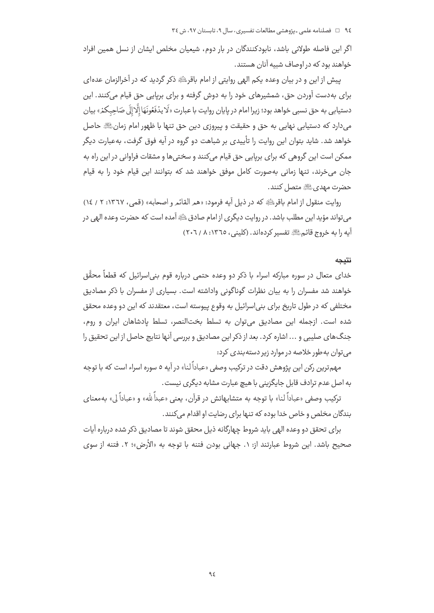اگر این فاصله طولانی باشد، نابودکنندگان در بار دوم، شیعیان مخلص ایشان از نسل همین افراد خواهند بود که در اوصاف شبیه آنان هستند.

پیش از این و در بیان وعده یکم الهی روایتی از امام باقریائ ذکر گردید که در آخرالزمان عدهای برای بهدست آوردن حق، شمشیرهای خود را به دوش گرفته و برای برپایی حق قیام میکنند. این دستيابي به حق نسبي خواهد بود؛ زيرا امام در پايان روايت با عبارت «لَا يدُفَعُونَهَا إلَّا إلَى صَاحِبكمْ» بيان مي دارد كه دستيابي نهايي به حق و حقيقت و پيروزي دين حق تنها با ظهور امام زمانﷺ حاصل خواهد شد. شاید بتوان این روایت را تأییدی بر شباهت دو گروه در آیه فوق گرفت، بهعبارت دیگر ممکن است این گروهی که برای برپایی حق قیام میکنند و سختی ها و مشقات فراوانی در این راه به جان می خرند، تنها زمانی به صورت کامل موفق خواهند شد که بتوانند این قیام خود را به قیام حضرت مهديﷺ متصل كنند.

روايت منقول از امام باقر ﷺ كه در ذيل آيه فرمود: «هم القائم و اصحابه» (قمي، ١٣٦٧: ٢ / ١٤) می تواند مؤید این مطلب باشد. در روایت دیگری از امام صادق ﷺ آمده است که حضرت وعده الهی در آيه را به خروج قائمﷺ تفسير كردهاند. (كليني، ١٣٦٥: ٨ / ٢٠٦)

#### نتىحە

خدای متعال در سوره مبارکه اسراء با ذکر دو وعده حتمی درباره قوم بنی|سرائیل که قطعاً محقَّق خواهند شد مفسران را به بیان نظرات گوناگونی واداشته است. بسیاری از مفسران با ذکر مصادیق مختلفی که در طول تاریخ برای بنی|سرائیل به وقوع پیوسته است، معتقدند که این دو وعده محقق شده است. ازجمله این مصادیق میتوان به تسلط بختالنصر، تسلط پادشاهان ایران و روم، جنگ های صلیبی و ... اشاره کرد. بعد از ذکر این مصادیق و بررسی آنها نتایج حاصل از این تحقیق را می توان به طور خلاصه در موارد زیر دسته بندی کرد:

مهمترین رکن این پژوهش دقت در ترکیب وصفی «عباداً لنا» در آیه ۵ سوره اسراء است که با توجه به اصل عدم ترادف قابل جایگزینی با هیچ عبارت مشابه دیگری نیست.

ترکیب وصفی «عباداً لنا» با توجه به متشابهاتش در قرآن، یعنی «عبداً لله» و «عباداً لی» بهمعنای بندگان مخلص و خاص خدا بوده که تنها برای رضایت او اقدام میکنند.

برای تحقق دو وعده الهی باید شروط چهارگانه ذیل محقق شوند تا مصادیق ذکر شده درباره آیات صحيح باشد. اين شروط عبارتند از: ١. جهاني بودن فتنه با توجه به «الأرض»؛ ٢. فتنه از سوى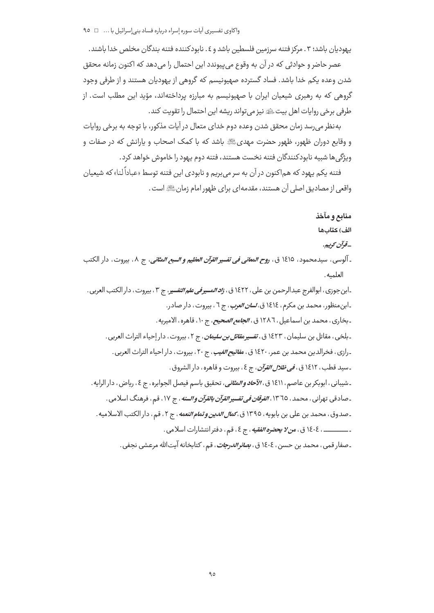یهودیان باشد؛ ۳ . مرکز فتنه سرزمین فلسطین باشد و ٤ . نابودکننده فتنه بندگان مخلص خدا باشند .

عصر حاضر و حوادثی که در آن به وقوع می،پیوندد این احتمال را می،دهد که اکنون زمانه محقق شدن وعده یکم خدا باشد. فساد گسترده صهیونیسم که گروهی از یهودیان هستند و از طرفی وجود گروهی که به رهبری شیعیان ایران با صهیونیسم به مبارزه پرداختهاند، مؤید این مطلب است. از طرفي برخي روايات اهل بيت ﷺ نيز مي تواند ريشه اين احتمال را تقويت كند .

بهنظر می رسد زمان محقق شدن وعده دوم خدای متعال در آیات مذکور، با توجه به برخی روایات و وقایع دوران ظهور، ظهور حضرت مهدیﷺ باشد که با کمک اصحاب و پارانش که در صفات و ويژگى ها شبيه نابودكنندگان فتنه نخست هستند، فتنه دوم يهود را خاموش خواهد كرد.

فتنه یکم یهود که هماکنون در آن به سر می بریم و نابودی این فتنه توسط «عباداً لنا» که شیعیان واقعي از مصاديق اصلي آن هستند، مقدمه|ي براي ظهور امام زمانﷺ است .

منابع ومآخذ

الف) كتابها

# \_قوآن كوييم.

ـ آلوسي ، سيدمحمود ، ١٤١٥ ق ، ر*وح المعاني في تفسير القرآن العظيم و السبع المثاني*، ج ٨، بيروت ، دار الكتب العلميه.

۔ابن جوزي ، ابوالفرج عبدالرحمن بن علي ، ١٤٢٢ ق ، *زاد المسير في علم التفسي*ر ، ج ٣ ، بيروت ، دار الكتب العربي . ۔ابن منظور، محمد بن مکرم، ١٤١٤ ق، *لسان العرب*، ج ٦، بیروت، دار صادر. ـ بخاري ، محمد بن اسماعيل ، ١٢٨٦ ق ، *الجامع الصحيح* ، ج ١٠ ، قاهره ، الاميريه . ـ بلخي ، مقاتل بن سليمان ، ١٤٢٣ ق ، *تفسير مقاتل بن سليمان* ، ج ٢ ، بيروت ، دار إحياء التراث العربي . ـ رازي ، فخرالدين محمد بن عمر ١٤٢٠ ق ، *مفاتيح الغيب* ، ج ٢٠ ، بيروت ، دار احياء التراث العربي . ـ سيد قطب ، ١٤١٢ ق *، في ظلال القرآن* ، ج ٤ ، بيروت و قاهره ، دار الشروق . ـ شيباني ، ابوبكر بن عاصم ، ١٤١١ ق ، *الآحاد والمثاني*، تحقيق باسم فيصل الجوابره ، ج ٤ ، رياض ، دار الرايه . ـ صادقي تهراني ، محمد ، ١٣٦٥ ، *الفرقان في تفسير القرآن بالقرآن والسنه* ، ج ١٧، قم ، فرهنگ اسلامي . ـصدوق، محمد بن علي بن بابويه، ١٣٩٥ ق، *كمال الدين و تمام النعمه*، ج ٢، قم، دار الكتب الاسلاميه. ـــــــــــــــ ، ١٤٠٤ ق ، م*ن لا يحضو الفقيه* ، ج ٤ ، قم ، دفتر انتشارات اسلامي .

ـصفار قمی ، محمد بن حسن ، ١٤٠٤ ق ، *بصائرالدرجات* ، قم ، كتابخانه آيتالله مرعشى نجفى .